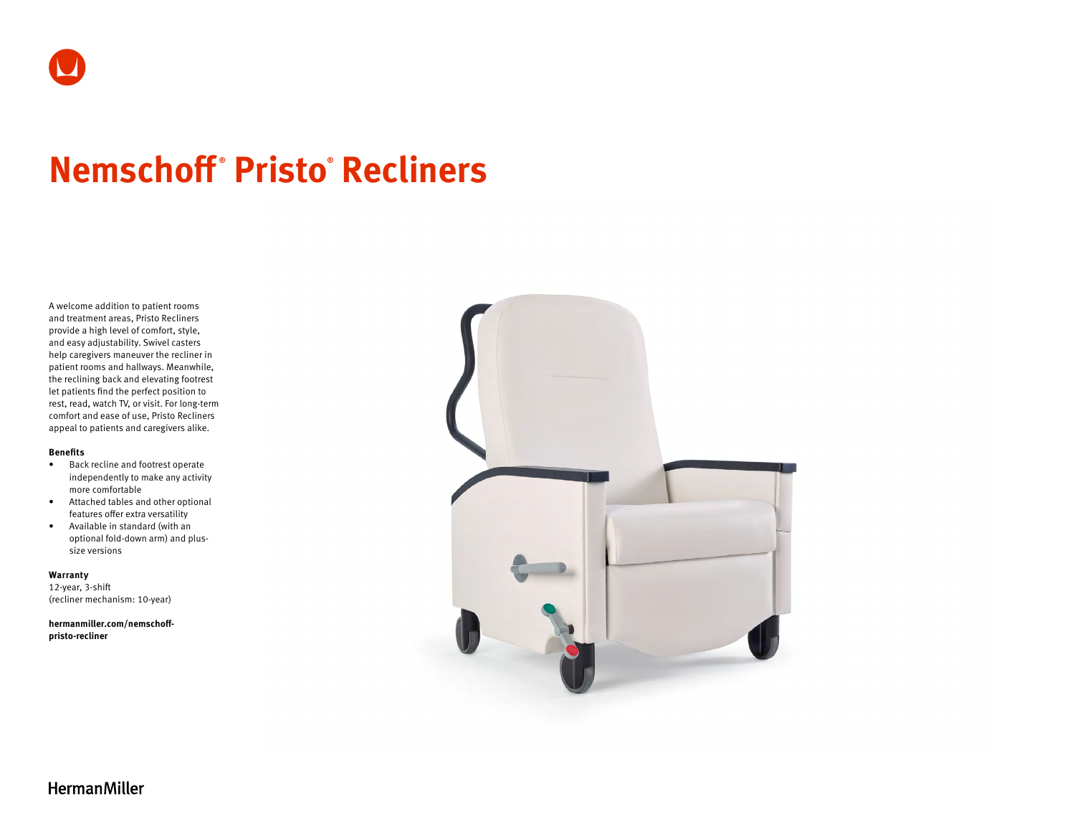# **Nemschoff ® Pristo® Recliners**

A welcome addition to patient rooms and treatment areas, Pristo Recliners provide a high level of comfort, style, and easy adjustability. Swivel casters help caregivers maneuver the recliner in patient rooms and hallways. Meanwhile, the reclining back and elevating footrest let patients find the perfect position to rest, read, watch TV, or visit. For long-term comfort and ease of use, Pristo Recliners appeal to patients and caregivers alike.

#### **Benefits**

- Back recline and footrest operate independently to make any activity more comfortable
- Attached tables and other optional features offer extra versatility
- Available in standard (with an optional fold-down arm) and plussize versions

**Warranty**  12-year, 3-shift (recliner mechanism: 10-year)

**[hermanmiller.com/nemschoff](http://hermanmiller.com/nemschoff-pristo-recliner)[pristo-recliner](http://hermanmiller.com/nemschoff-pristo-recliner)**